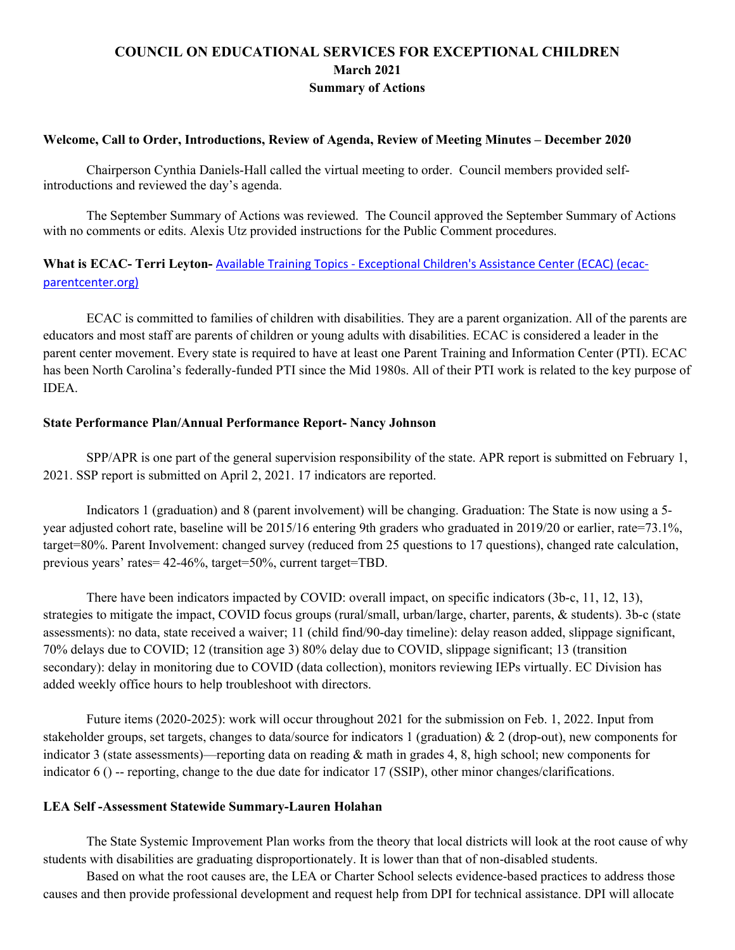# **COUNCIL ON EDUCATIONAL SERVICES FOR EXCEPTIONAL CHILDREN March 2021 Summary of Actions**

#### **Welcome, Call to Order, Introductions, Review of Agenda, Review of Meeting Minutes – December 2020**

Chairperson Cynthia Daniels-Hall called the virtual meeting to order. Council members provided selfintroductions and reviewed the day's agenda.

The September Summary of Actions was reviewed. The Council approved the September Summary of Actions with no comments or edits. Alexis Utz provided instructions for the Public Comment procedures.

# **What is ECAC- Terri Leyton-** Available Training Topics - Exceptional Children's Assistance Center (ECAC) (ecacparentcenter.org)

ECAC is committed to families of children with disabilities. They are a parent organization. All of the parents are educators and most staff are parents of children or young adults with disabilities. ECAC is considered a leader in the parent center movement. Every state is required to have at least one Parent Training and Information Center (PTI). ECAC has been North Carolina's federally-funded PTI since the Mid 1980s. All of their PTI work is related to the key purpose of IDEA.

## **State Performance Plan/Annual Performance Report- Nancy Johnson**

SPP/APR is one part of the general supervision responsibility of the state. APR report is submitted on February 1, 2021. SSP report is submitted on April 2, 2021. 17 indicators are reported.

Indicators 1 (graduation) and 8 (parent involvement) will be changing. Graduation: The State is now using a 5 year adjusted cohort rate, baseline will be 2015/16 entering 9th graders who graduated in 2019/20 or earlier, rate=73.1%, target=80%. Parent Involvement: changed survey (reduced from 25 questions to 17 questions), changed rate calculation, previous years' rates= 42-46%, target=50%, current target=TBD.

There have been indicators impacted by COVID: overall impact, on specific indicators (3b-c, 11, 12, 13), strategies to mitigate the impact, COVID focus groups (rural/small, urban/large, charter, parents, & students). 3b-c (state assessments): no data, state received a waiver; 11 (child find/90-day timeline): delay reason added, slippage significant, 70% delays due to COVID; 12 (transition age 3) 80% delay due to COVID, slippage significant; 13 (transition secondary): delay in monitoring due to COVID (data collection), monitors reviewing IEPs virtually. EC Division has added weekly office hours to help troubleshoot with directors.

Future items (2020-2025): work will occur throughout 2021 for the submission on Feb. 1, 2022. Input from stakeholder groups, set targets, changes to data/source for indicators 1 (graduation) & 2 (drop-out), new components for indicator 3 (state assessments)—reporting data on reading & math in grades 4, 8, high school; new components for indicator 6 () -- reporting, change to the due date for indicator 17 (SSIP), other minor changes/clarifications.

#### **LEA Self -Assessment Statewide Summary-Lauren Holahan**

The State Systemic Improvement Plan works from the theory that local districts will look at the root cause of why students with disabilities are graduating disproportionately. It is lower than that of non-disabled students.

Based on what the root causes are, the LEA or Charter School selects evidence-based practices to address those causes and then provide professional development and request help from DPI for technical assistance. DPI will allocate